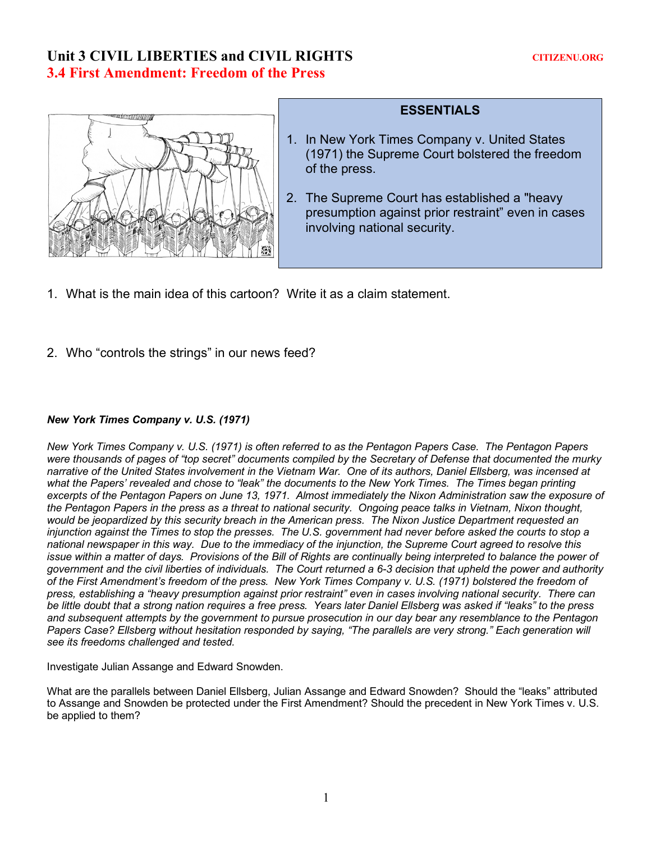# Unit 3 CIVIL LIBERTIES and CIVIL RIGHTS CITIZENU.ORG **3.4 First Amendment: Freedom of the Press**



## **ESSENTIALS**

- 1. In New York Times Company v. United States (1971) the Supreme Court bolstered the freedom of the press.
- 2. The Supreme Court has established a "heavy presumption against prior restraint" even in cases involving national security.
- 1. What is the main idea of this cartoon? Write it as a claim statement.
- 2. Who "controls the strings" in our news feed?

#### *New York Times Company v. U.S. (1971)*

*New York Times Company v. U.S. (1971) is often referred to as the Pentagon Papers Case. The Pentagon Papers were thousands of pages of "top secret" documents compiled by the Secretary of Defense that documented the murky narrative of the United States involvement in the Vietnam War. One of its authors, Daniel Ellsberg, was incensed at what the Papers' revealed and chose to "leak" the documents to the New York Times. The Times began printing*  excerpts of the Pentagon Papers on June 13, 1971. Almost immediately the Nixon Administration saw the exposure of *the Pentagon Papers in the press as a threat to national security. Ongoing peace talks in Vietnam, Nixon thought, would be jeopardized by this security breach in the American press. The Nixon Justice Department requested an injunction against the Times to stop the presses. The U.S. government had never before asked the courts to stop a national newspaper in this way. Due to the immediacy of the injunction, the Supreme Court agreed to resolve this*  issue within a matter of days. Provisions of the Bill of Rights are continually being interpreted to balance the power of *government and the civil liberties of individuals. The Court returned a 6-3 decision that upheld the power and authority of the First Amendment's freedom of the press. New York Times Company v. U.S. (1971) bolstered the freedom of press, establishing a "heavy presumption against prior restraint" even in cases involving national security. There can be little doubt that a strong nation requires a free press. Years later Daniel Ellsberg was asked if "leaks" to the press and subsequent attempts by the government to pursue prosecution in our day bear any resemblance to the Pentagon Papers Case? Ellsberg without hesitation responded by saying, "The parallels are very strong." Each generation will see its freedoms challenged and tested.* 

Investigate Julian Assange and Edward Snowden.

What are the parallels between Daniel Ellsberg, Julian Assange and Edward Snowden? Should the "leaks" attributed to Assange and Snowden be protected under the First Amendment? Should the precedent in New York Times v. U.S. be applied to them?